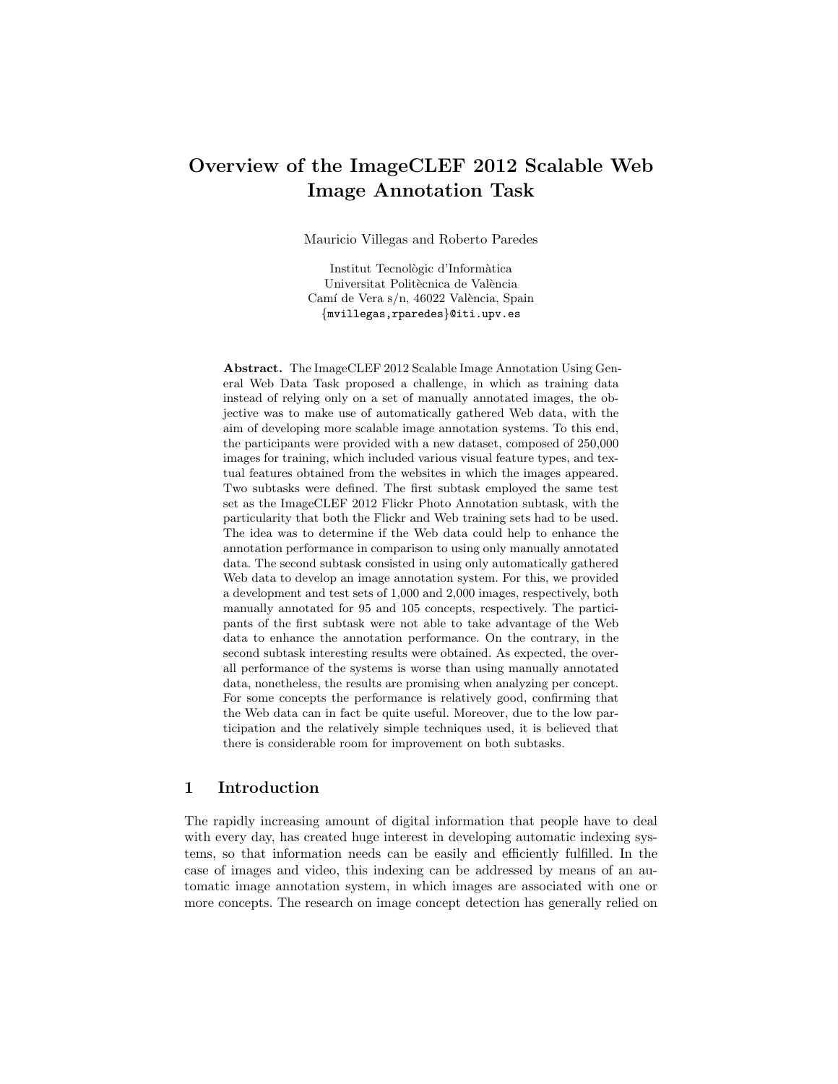# Overview of the ImageCLEF 2012 Scalable Web Image Annotation Task

Mauricio Villegas and Roberto Paredes

Institut Tecnològic d'Informàtica Universitat Politècnica de València Camí de Vera s/n, 46022 València, Spain {mvillegas,rparedes}@iti.upv.es

Abstract. The ImageCLEF 2012 Scalable Image Annotation Using General Web Data Task proposed a challenge, in which as training data instead of relying only on a set of manually annotated images, the objective was to make use of automatically gathered Web data, with the aim of developing more scalable image annotation systems. To this end, the participants were provided with a new dataset, composed of 250,000 images for training, which included various visual feature types, and textual features obtained from the websites in which the images appeared. Two subtasks were defined. The first subtask employed the same test set as the ImageCLEF 2012 Flickr Photo Annotation subtask, with the particularity that both the Flickr and Web training sets had to be used. The idea was to determine if the Web data could help to enhance the annotation performance in comparison to using only manually annotated data. The second subtask consisted in using only automatically gathered Web data to develop an image annotation system. For this, we provided a development and test sets of 1,000 and 2,000 images, respectively, both manually annotated for 95 and 105 concepts, respectively. The participants of the first subtask were not able to take advantage of the Web data to enhance the annotation performance. On the contrary, in the second subtask interesting results were obtained. As expected, the overall performance of the systems is worse than using manually annotated data, nonetheless, the results are promising when analyzing per concept. For some concepts the performance is relatively good, confirming that the Web data can in fact be quite useful. Moreover, due to the low participation and the relatively simple techniques used, it is believed that there is considerable room for improvement on both subtasks.

# 1 Introduction

The rapidly increasing amount of digital information that people have to deal with every day, has created huge interest in developing automatic indexing systems, so that information needs can be easily and efficiently fulfilled. In the case of images and video, this indexing can be addressed by means of an automatic image annotation system, in which images are associated with one or more concepts. The research on image concept detection has generally relied on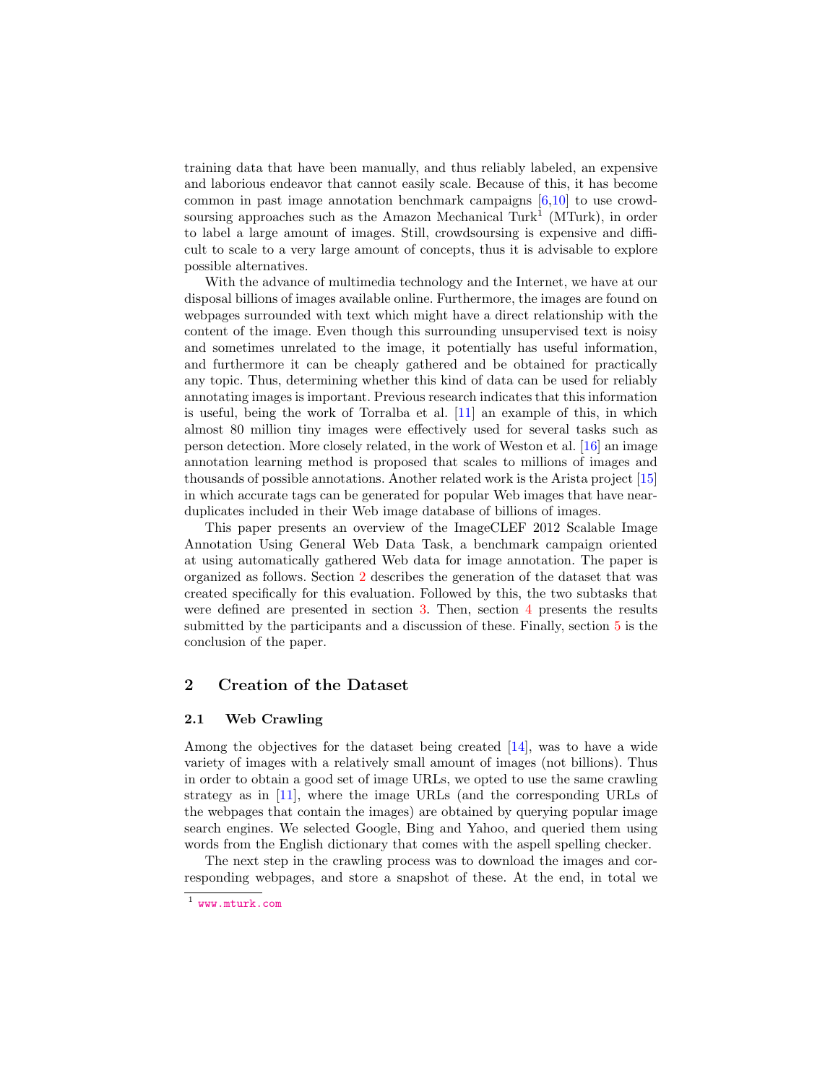<span id="page-1-1"></span>training data that have been manually, and thus reliably labeled, an expensive and laborious endeavor that cannot easily scale. Because of this, it has become common in past image annotation benchmark campaigns  $[6,10]$  $[6,10]$  to use crowdsoursing approaches such as the Amazon Mechanical Turk<sup>1</sup> (MTurk), in order to label a large amount of images. Still, crowdsoursing is expensive and difficult to scale to a very large amount of concepts, thus it is advisable to explore possible alternatives.

With the advance of multimedia technology and the Internet, we have at our disposal billions of images available online. Furthermore, the images are found on webpages surrounded with text which might have a direct relationship with the content of the image. Even though this surrounding unsupervised text is noisy and sometimes unrelated to the image, it potentially has useful information, and furthermore it can be cheaply gathered and be obtained for practically any topic. Thus, determining whether this kind of data can be used for reliably annotating images is important. Previous research indicates that this information is useful, being the work of Torralba et al. [\[11\]](#page-15-2) an example of this, in which almost 80 million tiny images were effectively used for several tasks such as person detection. More closely related, in the work of Weston et al. [\[16\]](#page-15-3) an image annotation learning method is proposed that scales to millions of images and thousands of possible annotations. Another related work is the Arista project [\[15\]](#page-15-4) in which accurate tags can be generated for popular Web images that have nearduplicates included in their Web image database of billions of images.

This paper presents an overview of the ImageCLEF 2012 Scalable Image Annotation Using General Web Data Task, a benchmark campaign oriented at using automatically gathered Web data for image annotation. The paper is organized as follows. Section [2](#page-1-0) describes the generation of the dataset that was created specifically for this evaluation. Followed by this, the two subtasks that were defined are presented in section [3.](#page-4-0) Then, section [4](#page-8-0) presents the results submitted by the participants and a discussion of these. Finally, section  $5$  is the conclusion of the paper.

# <span id="page-1-0"></span>2 Creation of the Dataset

## 2.1 Web Crawling

Among the objectives for the dataset being created [\[14\]](#page-15-5), was to have a wide variety of images with a relatively small amount of images (not billions). Thus in order to obtain a good set of image URLs, we opted to use the same crawling strategy as in [\[11\]](#page-15-2), where the image URLs (and the corresponding URLs of the webpages that contain the images) are obtained by querying popular image search engines. We selected Google, Bing and Yahoo, and queried them using words from the English dictionary that comes with the aspell spelling checker.

The next step in the crawling process was to download the images and corresponding webpages, and store a snapshot of these. At the end, in total we

<sup>1</sup> <www.mturk.com>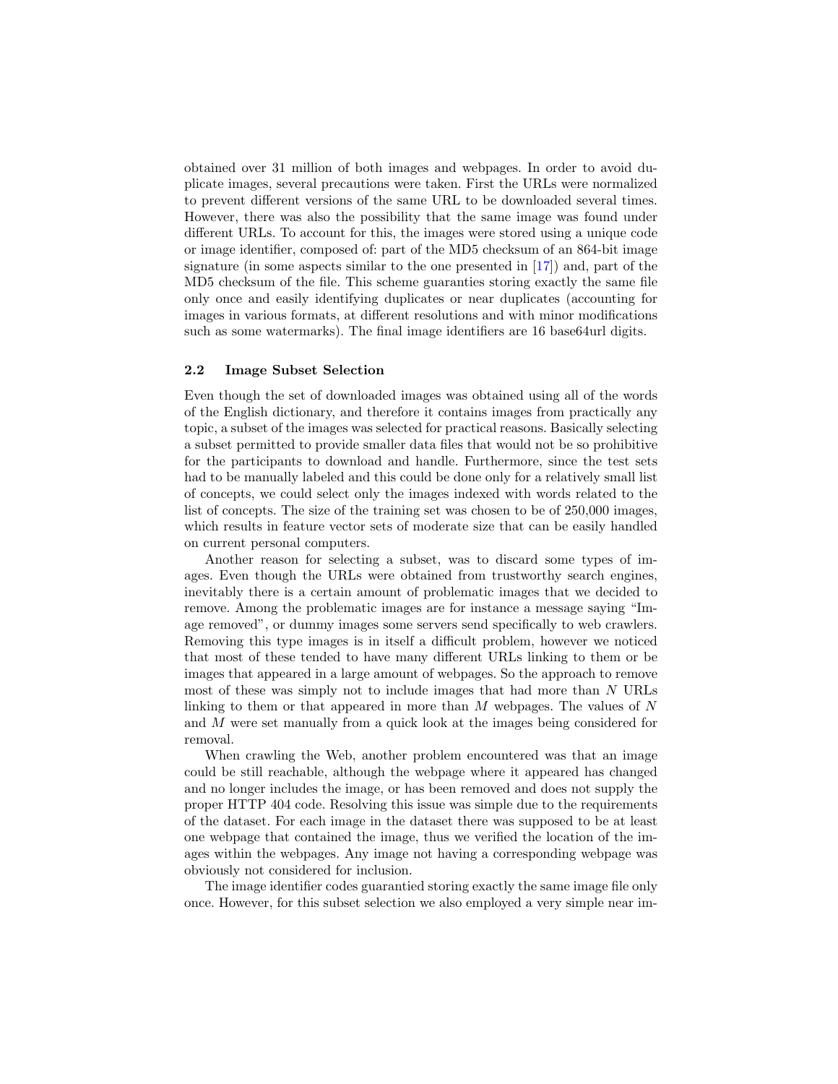<span id="page-2-0"></span>obtained over 31 million of both images and webpages. In order to avoid duplicate images, several precautions were taken. First the URLs were normalized to prevent different versions of the same URL to be downloaded several times. However, there was also the possibility that the same image was found under different URLs. To account for this, the images were stored using a unique code or image identifier, composed of: part of the MD5 checksum of an 864-bit image signature (in some aspects similar to the one presented in  $[17]$ ) and, part of the MD5 checksum of the file. This scheme guaranties storing exactly the same file only once and easily identifying duplicates or near duplicates (accounting for images in various formats, at different resolutions and with minor modifications such as some watermarks). The final image identifiers are 16 base64url digits.

#### 2.2 Image Subset Selection

Even though the set of downloaded images was obtained using all of the words of the English dictionary, and therefore it contains images from practically any topic, a subset of the images was selected for practical reasons. Basically selecting a subset permitted to provide smaller data files that would not be so prohibitive for the participants to download and handle. Furthermore, since the test sets had to be manually labeled and this could be done only for a relatively small list of concepts, we could select only the images indexed with words related to the list of concepts. The size of the training set was chosen to be of 250,000 images, which results in feature vector sets of moderate size that can be easily handled on current personal computers.

Another reason for selecting a subset, was to discard some types of images. Even though the URLs were obtained from trustworthy search engines, inevitably there is a certain amount of problematic images that we decided to remove. Among the problematic images are for instance a message saying "Image removed", or dummy images some servers send specifically to web crawlers. Removing this type images is in itself a difficult problem, however we noticed that most of these tended to have many different URLs linking to them or be images that appeared in a large amount of webpages. So the approach to remove most of these was simply not to include images that had more than N URLs linking to them or that appeared in more than  $M$  webpages. The values of  $N$ and M were set manually from a quick look at the images being considered for removal.

When crawling the Web, another problem encountered was that an image could be still reachable, although the webpage where it appeared has changed and no longer includes the image, or has been removed and does not supply the proper HTTP 404 code. Resolving this issue was simple due to the requirements of the dataset. For each image in the dataset there was supposed to be at least one webpage that contained the image, thus we verified the location of the images within the webpages. Any image not having a corresponding webpage was obviously not considered for inclusion.

The image identifier codes guarantied storing exactly the same image file only once. However, for this subset selection we also employed a very simple near im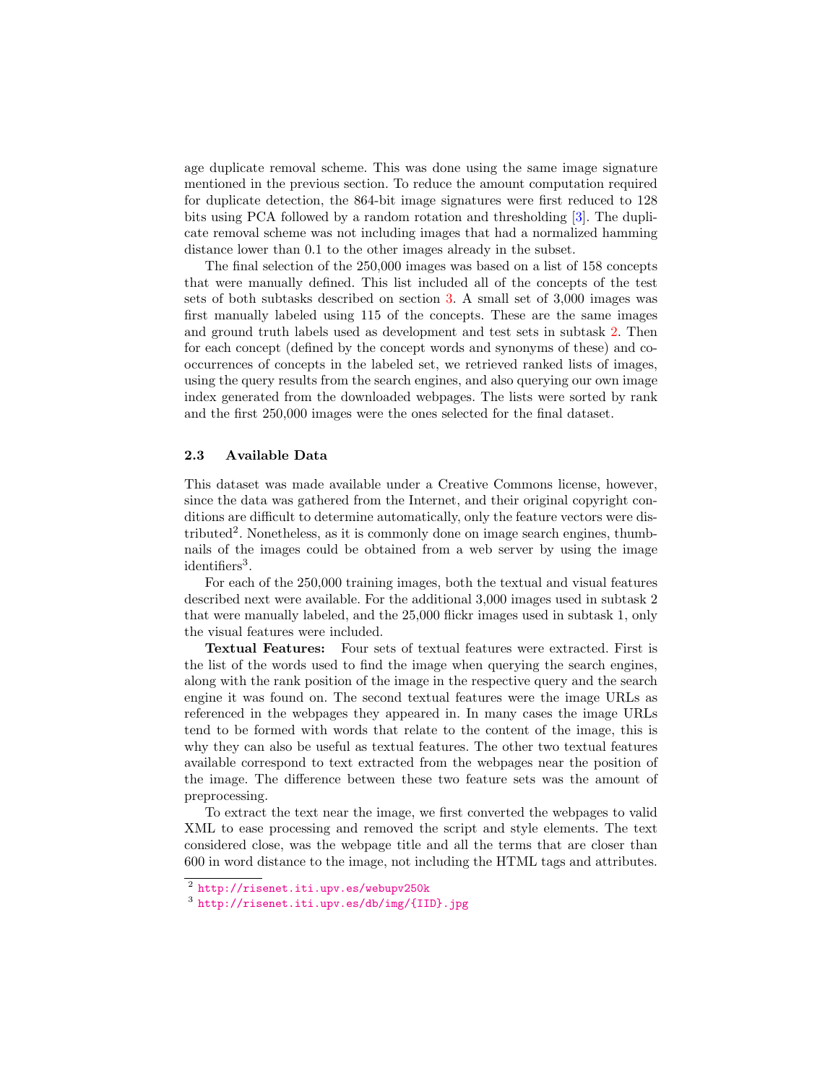<span id="page-3-0"></span>age duplicate removal scheme. This was done using the same image signature mentioned in the previous section. To reduce the amount computation required for duplicate detection, the 864-bit image signatures were first reduced to 128 bits using PCA followed by a random rotation and thresholding [\[3\]](#page-14-0). The duplicate removal scheme was not including images that had a normalized hamming distance lower than 0.1 to the other images already in the subset.

The final selection of the 250,000 images was based on a list of 158 concepts that were manually defined. This list included all of the concepts of the test sets of both subtasks described on section [3.](#page-4-0) A small set of 3,000 images was first manually labeled using 115 of the concepts. These are the same images and ground truth labels used as development and test sets in subtask [2.](#page-6-0) Then for each concept (defined by the concept words and synonyms of these) and cooccurrences of concepts in the labeled set, we retrieved ranked lists of images, using the query results from the search engines, and also querying our own image index generated from the downloaded webpages. The lists were sorted by rank and the first 250,000 images were the ones selected for the final dataset.

### 2.3 Available Data

This dataset was made available under a Creative Commons license, however, since the data was gathered from the Internet, and their original copyright conditions are difficult to determine automatically, only the feature vectors were distributed<sup>2</sup>. Nonetheless, as it is commonly done on image search engines, thumbnails of the images could be obtained from a web server by using the image identifiers<sup>3</sup>.

For each of the 250,000 training images, both the textual and visual features described next were available. For the additional 3,000 images used in subtask 2 that were manually labeled, and the 25,000 flickr images used in subtask 1, only the visual features were included.

Textual Features: Four sets of textual features were extracted. First is the list of the words used to find the image when querying the search engines, along with the rank position of the image in the respective query and the search engine it was found on. The second textual features were the image URLs as referenced in the webpages they appeared in. In many cases the image URLs tend to be formed with words that relate to the content of the image, this is why they can also be useful as textual features. The other two textual features available correspond to text extracted from the webpages near the position of the image. The difference between these two feature sets was the amount of preprocessing.

To extract the text near the image, we first converted the webpages to valid XML to ease processing and removed the script and style elements. The text considered close, was the webpage title and all the terms that are closer than 600 in word distance to the image, not including the HTML tags and attributes.

<sup>2</sup> <http://risenet.iti.upv.es/webupv250k>

<sup>3</sup> <http://risenet.iti.upv.es/db/img/{IID}.jpg>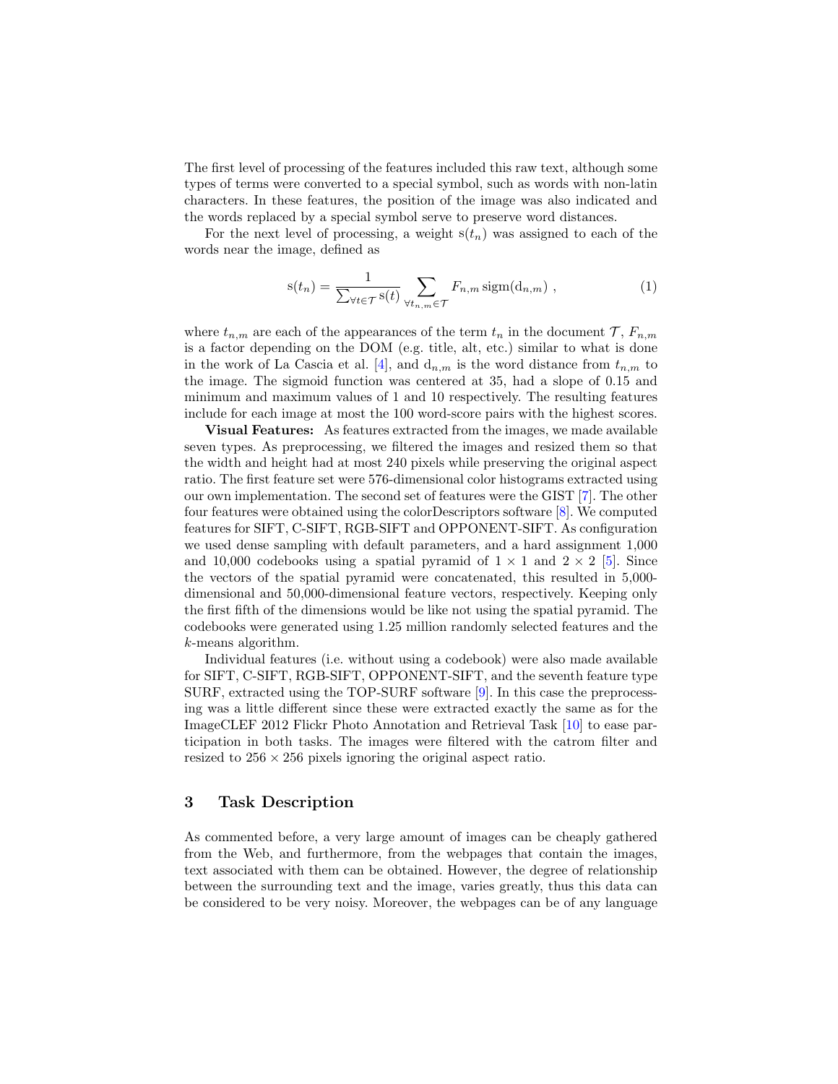<span id="page-4-1"></span>The first level of processing of the features included this raw text, although some types of terms were converted to a special symbol, such as words with non-latin characters. In these features, the position of the image was also indicated and the words replaced by a special symbol serve to preserve word distances.

For the next level of processing, a weight  $s(t_n)$  was assigned to each of the words near the image, defined as

$$
s(t_n) = \frac{1}{\sum_{\forall t \in \mathcal{T}} s(t)} \sum_{\forall t_{n,m} \in \mathcal{T}} F_{n,m} \operatorname{sigm}(d_{n,m}), \qquad (1)
$$

where  $t_{n,m}$  are each of the appearances of the term  $t_n$  in the document  $\mathcal{T}, F_{n,m}$ is a factor depending on the DOM (e.g. title, alt, etc.) similar to what is done in the work of La Cascia et al. [\[4\]](#page-15-7), and  $d_{n,m}$  is the word distance from  $t_{n,m}$  to the image. The sigmoid function was centered at 35, had a slope of 0.15 and minimum and maximum values of 1 and 10 respectively. The resulting features include for each image at most the 100 word-score pairs with the highest scores.

Visual Features: As features extracted from the images, we made available seven types. As preprocessing, we filtered the images and resized them so that the width and height had at most 240 pixels while preserving the original aspect ratio. The first feature set were 576-dimensional color histograms extracted using our own implementation. The second set of features were the GIST [\[7\]](#page-15-8). The other four features were obtained using the colorDescriptors software [\[8\]](#page-15-9). We computed features for SIFT, C-SIFT, RGB-SIFT and OPPONENT-SIFT. As configuration we used dense sampling with default parameters, and a hard assignment 1,000 and 10,000 codebooks using a spatial pyramid of  $1 \times 1$  and  $2 \times 2$  [\[5\]](#page-15-10). Since the vectors of the spatial pyramid were concatenated, this resulted in 5,000 dimensional and 50,000-dimensional feature vectors, respectively. Keeping only the first fifth of the dimensions would be like not using the spatial pyramid. The codebooks were generated using 1.25 million randomly selected features and the k-means algorithm.

Individual features (i.e. without using a codebook) were also made available for SIFT, C-SIFT, RGB-SIFT, OPPONENT-SIFT, and the seventh feature type SURF, extracted using the TOP-SURF software [\[9\]](#page-15-11). In this case the preprocessing was a little different since these were extracted exactly the same as for the ImageCLEF 2012 Flickr Photo Annotation and Retrieval Task [\[10\]](#page-15-1) to ease participation in both tasks. The images were filtered with the catrom filter and resized to  $256 \times 256$  pixels ignoring the original aspect ratio.

## <span id="page-4-0"></span>3 Task Description

As commented before, a very large amount of images can be cheaply gathered from the Web, and furthermore, from the webpages that contain the images, text associated with them can be obtained. However, the degree of relationship between the surrounding text and the image, varies greatly, thus this data can be considered to be very noisy. Moreover, the webpages can be of any language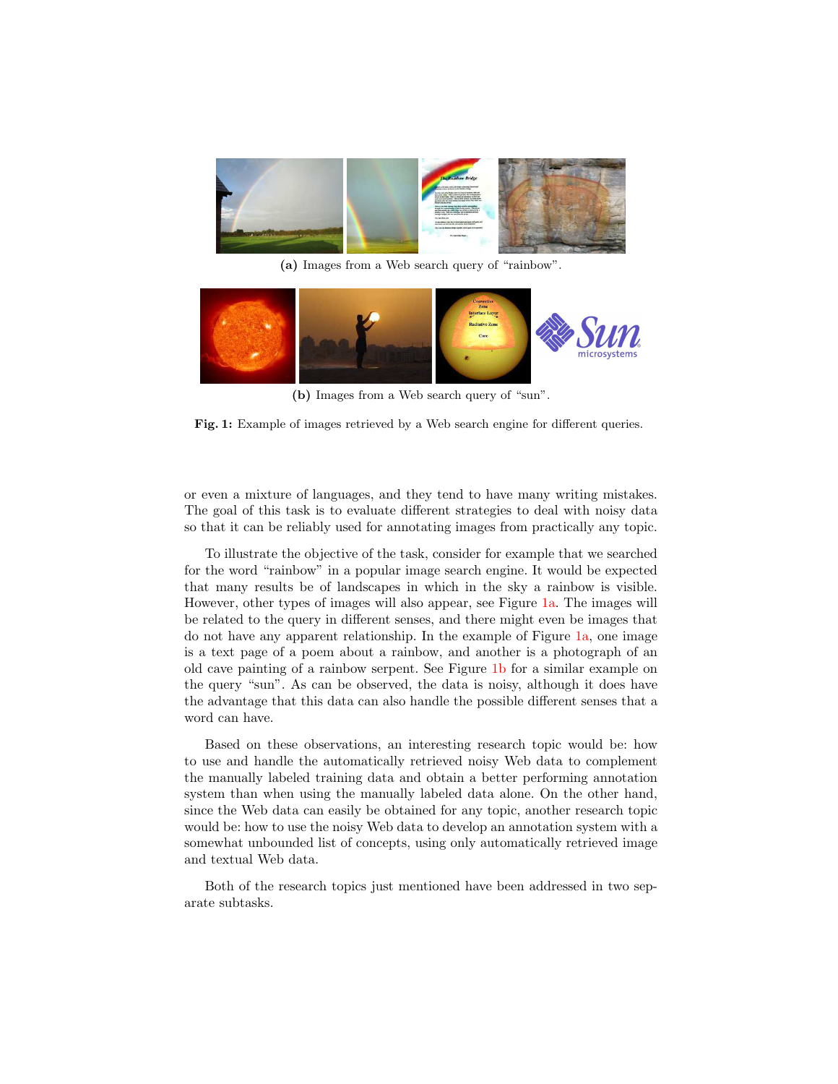<span id="page-5-0"></span>

(a) Images from a Web search query of "rainbow".

<span id="page-5-1"></span>

(b) Images from a Web search query of "sun".

Fig. 1: Example of images retrieved by a Web search engine for different queries.

or even a mixture of languages, and they tend to have many writing mistakes. The goal of this task is to evaluate different strategies to deal with noisy data so that it can be reliably used for annotating images from practically any topic.

To illustrate the objective of the task, consider for example that we searched for the word "rainbow" in a popular image search engine. It would be expected that many results be of landscapes in which in the sky a rainbow is visible. However, other types of images will also appear, see Figure [1a.](#page-5-0) The images will be related to the query in different senses, and there might even be images that do not have any apparent relationship. In the example of Figure [1a,](#page-5-0) one image is a text page of a poem about a rainbow, and another is a photograph of an old cave painting of a rainbow serpent. See Figure [1b](#page-5-1) for a similar example on the query "sun". As can be observed, the data is noisy, although it does have the advantage that this data can also handle the possible different senses that a word can have.

Based on these observations, an interesting research topic would be: how to use and handle the automatically retrieved noisy Web data to complement the manually labeled training data and obtain a better performing annotation system than when using the manually labeled data alone. On the other hand, since the Web data can easily be obtained for any topic, another research topic would be: how to use the noisy Web data to develop an annotation system with a somewhat unbounded list of concepts, using only automatically retrieved image and textual Web data.

Both of the research topics just mentioned have been addressed in two separate subtasks.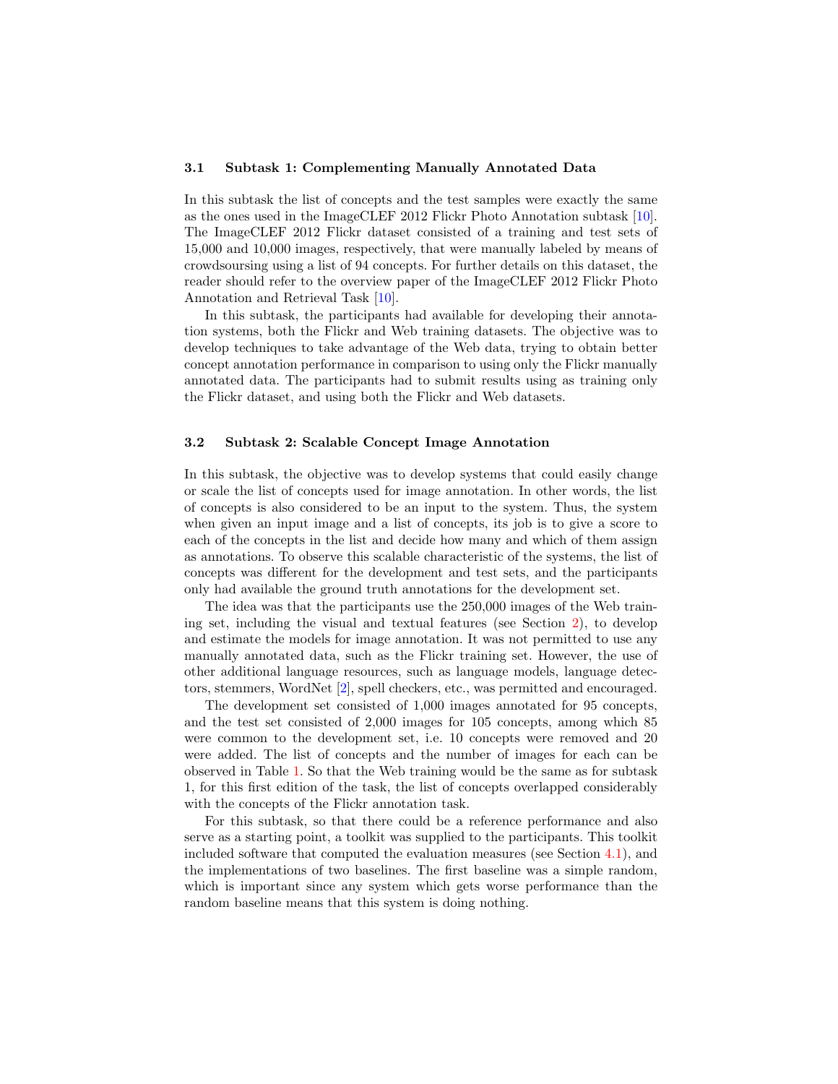## <span id="page-6-1"></span>3.1 Subtask 1: Complementing Manually Annotated Data

In this subtask the list of concepts and the test samples were exactly the same as the ones used in the ImageCLEF 2012 Flickr Photo Annotation subtask [\[10\]](#page-15-1). The ImageCLEF 2012 Flickr dataset consisted of a training and test sets of 15,000 and 10,000 images, respectively, that were manually labeled by means of crowdsoursing using a list of 94 concepts. For further details on this dataset, the reader should refer to the overview paper of the ImageCLEF 2012 Flickr Photo Annotation and Retrieval Task [\[10\]](#page-15-1).

In this subtask, the participants had available for developing their annotation systems, both the Flickr and Web training datasets. The objective was to develop techniques to take advantage of the Web data, trying to obtain better concept annotation performance in comparison to using only the Flickr manually annotated data. The participants had to submit results using as training only the Flickr dataset, and using both the Flickr and Web datasets.

## <span id="page-6-0"></span>3.2 Subtask 2: Scalable Concept Image Annotation

In this subtask, the objective was to develop systems that could easily change or scale the list of concepts used for image annotation. In other words, the list of concepts is also considered to be an input to the system. Thus, the system when given an input image and a list of concepts, its job is to give a score to each of the concepts in the list and decide how many and which of them assign as annotations. To observe this scalable characteristic of the systems, the list of concepts was different for the development and test sets, and the participants only had available the ground truth annotations for the development set.

The idea was that the participants use the 250,000 images of the Web training set, including the visual and textual features (see Section [2\)](#page-1-0), to develop and estimate the models for image annotation. It was not permitted to use any manually annotated data, such as the Flickr training set. However, the use of other additional language resources, such as language models, language detectors, stemmers, WordNet [\[2\]](#page-14-1), spell checkers, etc., was permitted and encouraged.

The development set consisted of 1,000 images annotated for 95 concepts, and the test set consisted of 2,000 images for 105 concepts, among which 85 were common to the development set, i.e. 10 concepts were removed and 20 were added. The list of concepts and the number of images for each can be observed in Table [1.](#page-7-0) So that the Web training would be the same as for subtask 1, for this first edition of the task, the list of concepts overlapped considerably with the concepts of the Flickr annotation task.

For this subtask, so that there could be a reference performance and also serve as a starting point, a toolkit was supplied to the participants. This toolkit included software that computed the evaluation measures (see Section [4.1\)](#page-8-1), and the implementations of two baselines. The first baseline was a simple random, which is important since any system which gets worse performance than the random baseline means that this system is doing nothing.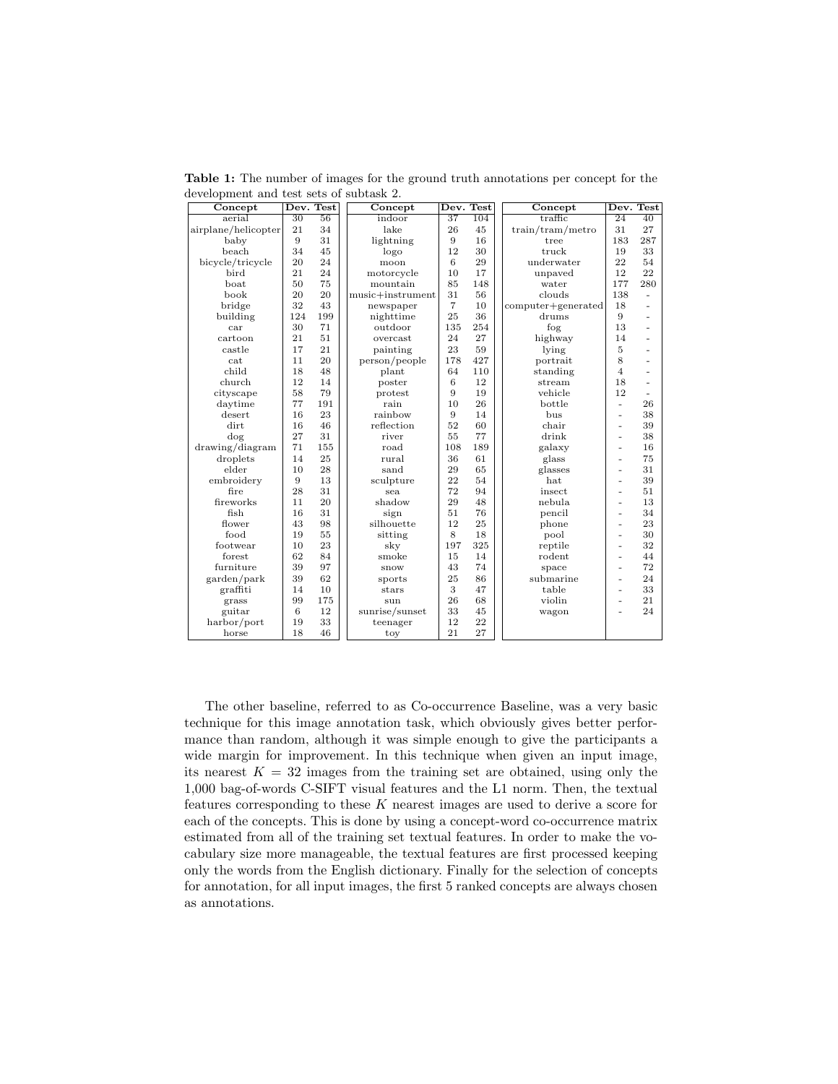| Concept             |                 | Dev. Test       | Concept          |                 | Dev. Test | Concept            | Dev. Test      |                 |
|---------------------|-----------------|-----------------|------------------|-----------------|-----------|--------------------|----------------|-----------------|
| aerial              | $\overline{30}$ | $\overline{56}$ | indoor           | $\overline{37}$ | 104       | traffic            | 24             | $\overline{40}$ |
| airplane/helicopter | 21              | 34              | lake             | 26              | 45        | train/tram/metro   | 31             | 27              |
| baby                | 9               | 31              | lightning        | 9               | 16        | tree               | 183            | 287             |
| beach               | 34              | 45              | logo             | 12              | 30        | truck              | 19             | 33              |
| bicycle/tricycle    | 20              | 24              | moon             | 6               | 29        | underwater         | 22             | 54              |
| bird                | 21              | 24              | motorcycle       | 10              | 17        | unpaved            | 12             | 22              |
| boat                | 50              | 75              | mountain         | 85              | 148       | water              | 177            | 280             |
| book                | 20              | 20              | music+instrument | 31              | 56        | clouds             | 138            | ÷.              |
| bridge              | 32              | 43              | newspaper        | $\overline{7}$  | 10        | computer+generated | 18             |                 |
| building            | 124             | 199             | nighttime        | 25              | 36        | drums              | 9              |                 |
| car                 | 30              | 71              | outdoor          | 135             | 254       | fog                | 13             |                 |
| cartoon             | 21              | 51              | overcast         | 24              | 27        | highway            | 14             |                 |
| castle              | 17              | 21              | painting         | 23              | 59        | lying              | 5              |                 |
| cat                 | 11              | 20              | person/people    | 178             | 427       | portrait           | 8              |                 |
| child               | 18              | 48              | plant            | 64              | 110       | standing           | $\overline{4}$ |                 |
| church              | 12              | 14              | poster           | 6               | 12        | stream             | 18             |                 |
| cityscape           | 58              | 79              | protest          | 9               | 19        | vehicle            | 12             |                 |
| daytime             | 77              | 191             | rain             | 10              | 26        | bottle             | ä,             | 26              |
| desert              | 16              | 23              | rainbow          | 9               | 14        | bus                | ٠              | 38              |
| dirt                | 16              | 46              | reflection       | 52              | 60        | chair              | ٠              | 39              |
| dog                 | 27              | 31              | river            | 55              | 77        | drink              | $\overline{a}$ | 38              |
| drawing/diagram     | 71              | 155             | road             | 108             | 189       | galaxy             | ٠              | 16              |
| droplets            | 14              | 25              | rural            | 36              | 61        | glass              | ٠              | 75              |
| elder               | 10              | 28              | sand             | 29              | 65        | glasses            | ٠              | 31              |
| embroidery          | 9               | 13              | sculpture        | 22              | 54        | hat                | ٠              | 39              |
| fire                | 28              | 31              | sea              | 72              | 94        | insect             | ٠              | 51              |
| fireworks           | 11              | 20              | shadow           | 29              | 48        | nebula             | ٠              | 13              |
| fish                | 16              | 31              | sign             | 51              | 76        | pencil             | ٠              | 34              |
| flower              | 43              | 98              | silhouette       | 12              | 25        | phone              | ٠              | 23              |
| food                | 19              | 55              | sitting          | 8               | 18        | pool               | ٠              | 30              |
| footwear            | 10              | 23              | sky              | 197             | 325       | reptile            | ٠              | 32              |
| forest              | 62              | 84              | smoke            | 15              | 14        | rodent             | ٠              | 44              |
| furniture           | 39              | 97              | snow             | 43              | 74        | space              | ٠              | 72              |
| garden/park         | 39              | 62              | sports           | 25              | 86        | submarine          | ٠              | 24              |
| graffiti            | 14              | 10              | stars            | 3               | 47        | table              | $\overline{a}$ | 33              |
| grass               | 99              | 175             | sun              | 26              | 68        | violin             | ٠              | 21              |
| guitar              | 6               | 12              | sunrise/sunset   | 33              | 45        | wagon              | ٠              | 24              |
| harbor/port         | 19              | 33              | teenager         | 12              | 22        |                    |                |                 |
| horse               | 18              | 46              | toy              | 21              | 27        |                    |                |                 |

<span id="page-7-0"></span>Table 1: The number of images for the ground truth annotations per concept for the development and test sets of subtask 2.

The other baseline, referred to as Co-occurrence Baseline, was a very basic technique for this image annotation task, which obviously gives better performance than random, although it was simple enough to give the participants a wide margin for improvement. In this technique when given an input image, its nearest  $K = 32$  images from the training set are obtained, using only the 1,000 bag-of-words C-SIFT visual features and the L1 norm. Then, the textual features corresponding to these  $K$  nearest images are used to derive a score for each of the concepts. This is done by using a concept-word co-occurrence matrix estimated from all of the training set textual features. In order to make the vocabulary size more manageable, the textual features are first processed keeping only the words from the English dictionary. Finally for the selection of concepts for annotation, for all input images, the first 5 ranked concepts are always chosen as annotations.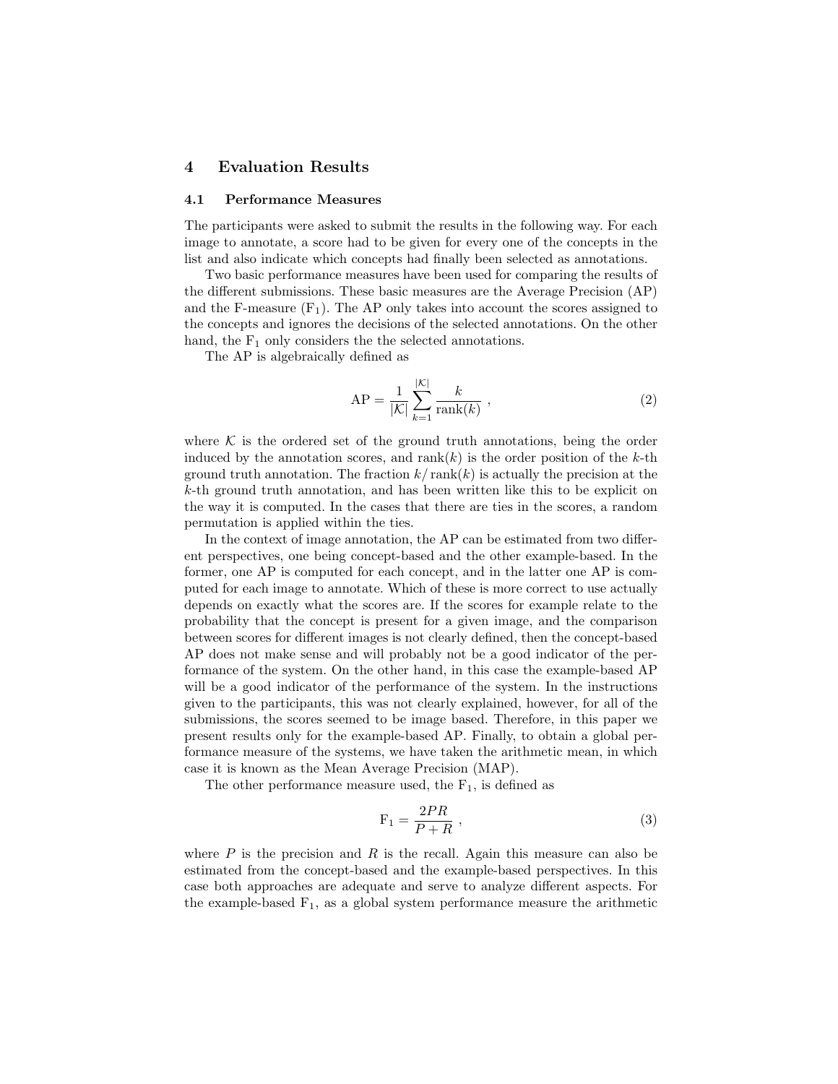## <span id="page-8-0"></span>4 Evaluation Results

#### <span id="page-8-1"></span>4.1 Performance Measures

The participants were asked to submit the results in the following way. For each image to annotate, a score had to be given for every one of the concepts in the list and also indicate which concepts had finally been selected as annotations.

Two basic performance measures have been used for comparing the results of the different submissions. These basic measures are the Average Precision (AP) and the F-measure  $(F_1)$ . The AP only takes into account the scores assigned to the concepts and ignores the decisions of the selected annotations. On the other hand, the  $F_1$  only considers the the selected annotations.

The AP is algebraically defined as

$$
AP = \frac{1}{|\mathcal{K}|} \sum_{k=1}^{|\mathcal{K}|} \frac{k}{\text{rank}(k)},
$$
\n(2)

where  $K$  is the ordered set of the ground truth annotations, being the order induced by the annotation scores, and  $rank(k)$  is the order position of the k-th ground truth annotation. The fraction  $k/\text{rank}(k)$  is actually the precision at the k-th ground truth annotation, and has been written like this to be explicit on the way it is computed. In the cases that there are ties in the scores, a random permutation is applied within the ties.

In the context of image annotation, the AP can be estimated from two different perspectives, one being concept-based and the other example-based. In the former, one AP is computed for each concept, and in the latter one AP is computed for each image to annotate. Which of these is more correct to use actually depends on exactly what the scores are. If the scores for example relate to the probability that the concept is present for a given image, and the comparison between scores for different images is not clearly defined, then the concept-based AP does not make sense and will probably not be a good indicator of the performance of the system. On the other hand, in this case the example-based AP will be a good indicator of the performance of the system. In the instructions given to the participants, this was not clearly explained, however, for all of the submissions, the scores seemed to be image based. Therefore, in this paper we present results only for the example-based AP. Finally, to obtain a global performance measure of the systems, we have taken the arithmetic mean, in which case it is known as the Mean Average Precision (MAP).

The other performance measure used, the  $F_1$ , is defined as

$$
\mathbf{F}_1 = \frac{2PR}{P + R} \,,\tag{3}
$$

where  $P$  is the precision and  $R$  is the recall. Again this measure can also be estimated from the concept-based and the example-based perspectives. In this case both approaches are adequate and serve to analyze different aspects. For the example-based  $F_1$ , as a global system performance measure the arithmetic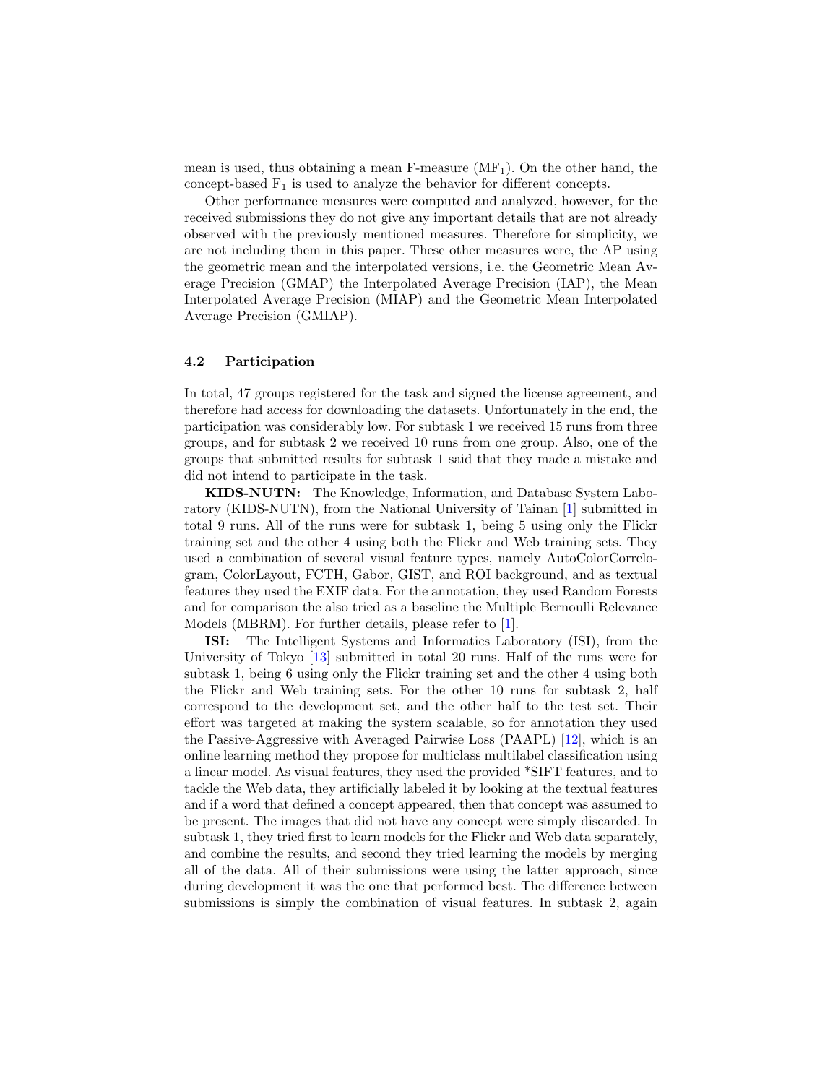<span id="page-9-0"></span>mean is used, thus obtaining a mean F-measure  $(MF_1)$ . On the other hand, the concept-based  $F_1$  is used to analyze the behavior for different concepts.

Other performance measures were computed and analyzed, however, for the received submissions they do not give any important details that are not already observed with the previously mentioned measures. Therefore for simplicity, we are not including them in this paper. These other measures were, the AP using the geometric mean and the interpolated versions, i.e. the Geometric Mean Average Precision (GMAP) the Interpolated Average Precision (IAP), the Mean Interpolated Average Precision (MIAP) and the Geometric Mean Interpolated Average Precision (GMIAP).

### 4.2 Participation

In total, 47 groups registered for the task and signed the license agreement, and therefore had access for downloading the datasets. Unfortunately in the end, the participation was considerably low. For subtask 1 we received 15 runs from three groups, and for subtask 2 we received 10 runs from one group. Also, one of the groups that submitted results for subtask 1 said that they made a mistake and did not intend to participate in the task.

KIDS-NUTN: The Knowledge, Information, and Database System Laboratory (KIDS-NUTN), from the National University of Tainan [\[1\]](#page-14-2) submitted in total 9 runs. All of the runs were for subtask 1, being 5 using only the Flickr training set and the other 4 using both the Flickr and Web training sets. They used a combination of several visual feature types, namely AutoColorCorrelogram, ColorLayout, FCTH, Gabor, GIST, and ROI background, and as textual features they used the EXIF data. For the annotation, they used Random Forests and for comparison the also tried as a baseline the Multiple Bernoulli Relevance Models (MBRM). For further details, please refer to [\[1\]](#page-14-2).

ISI: The Intelligent Systems and Informatics Laboratory (ISI), from the University of Tokyo [\[13\]](#page-15-12) submitted in total 20 runs. Half of the runs were for subtask 1, being 6 using only the Flickr training set and the other 4 using both the Flickr and Web training sets. For the other 10 runs for subtask 2, half correspond to the development set, and the other half to the test set. Their effort was targeted at making the system scalable, so for annotation they used the Passive-Aggressive with Averaged Pairwise Loss (PAAPL) [\[12\]](#page-15-13), which is an online learning method they propose for multiclass multilabel classification using a linear model. As visual features, they used the provided \*SIFT features, and to tackle the Web data, they artificially labeled it by looking at the textual features and if a word that defined a concept appeared, then that concept was assumed to be present. The images that did not have any concept were simply discarded. In subtask 1, they tried first to learn models for the Flickr and Web data separately, and combine the results, and second they tried learning the models by merging all of the data. All of their submissions were using the latter approach, since during development it was the one that performed best. The difference between submissions is simply the combination of visual features. In subtask 2, again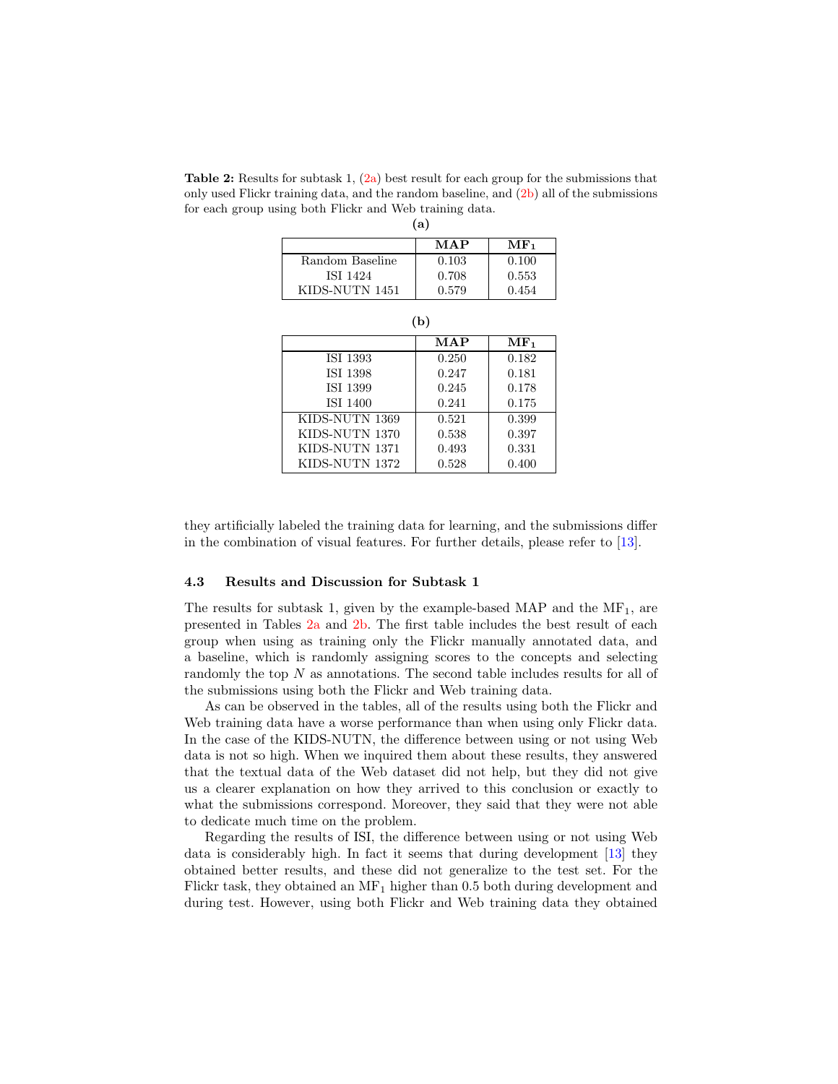<span id="page-10-2"></span><span id="page-10-0"></span>Table 2: Results for subtask 1,  $(2a)$  best result for each group for the submissions that only used Flickr training data, and the random baseline, and [\(2b\)](#page-10-1) all of the submissions for each group using both Flickr and Web training data.  $(a)$ 

| (al)            |       |            |  |  |
|-----------------|-------|------------|--|--|
|                 | MAP   | $\rm MF_1$ |  |  |
| Random Baseline | 0.103 | 0.100      |  |  |
| ISI 1424        | 0.708 | 0.553      |  |  |
| KIDS-NUTN 1451  | 0.579 | 0.454      |  |  |

<span id="page-10-1"></span>

|                 | <b>MAP</b> | MF <sub>1</sub> |  |  |
|-----------------|------------|-----------------|--|--|
| ISI 1393        | 0.250      | 0.182           |  |  |
| ISI 1398        | 0.247      | 0.181           |  |  |
| ISI 1399        | 0.245      | 0.178           |  |  |
| <b>ISI 1400</b> | 0.241      | 0.175           |  |  |
| KIDS-NUTN 1369  | 0.521      | 0.399           |  |  |
| KIDS-NUTN 1370  | 0.538      | 0.397           |  |  |
| KIDS-NUTN 1371  | 0.493      | 0.331           |  |  |
| KIDS-NUTN 1372  | 0.528      | 0.400           |  |  |

they artificially labeled the training data for learning, and the submissions differ in the combination of visual features. For further details, please refer to [\[13\]](#page-15-12).

#### 4.3 Results and Discussion for Subtask 1

The results for subtask 1, given by the example-based MAP and the  $MF<sub>1</sub>$ , are presented in Tables [2a](#page-10-0) and [2b.](#page-10-1) The first table includes the best result of each group when using as training only the Flickr manually annotated data, and a baseline, which is randomly assigning scores to the concepts and selecting randomly the top N as annotations. The second table includes results for all of the submissions using both the Flickr and Web training data.

As can be observed in the tables, all of the results using both the Flickr and Web training data have a worse performance than when using only Flickr data. In the case of the KIDS-NUTN, the difference between using or not using Web data is not so high. When we inquired them about these results, they answered that the textual data of the Web dataset did not help, but they did not give us a clearer explanation on how they arrived to this conclusion or exactly to what the submissions correspond. Moreover, they said that they were not able to dedicate much time on the problem.

Regarding the results of ISI, the difference between using or not using Web data is considerably high. In fact it seems that during development [\[13\]](#page-15-12) they obtained better results, and these did not generalize to the test set. For the Flickr task, they obtained an  $MF_1$  higher than 0.5 both during development and during test. However, using both Flickr and Web training data they obtained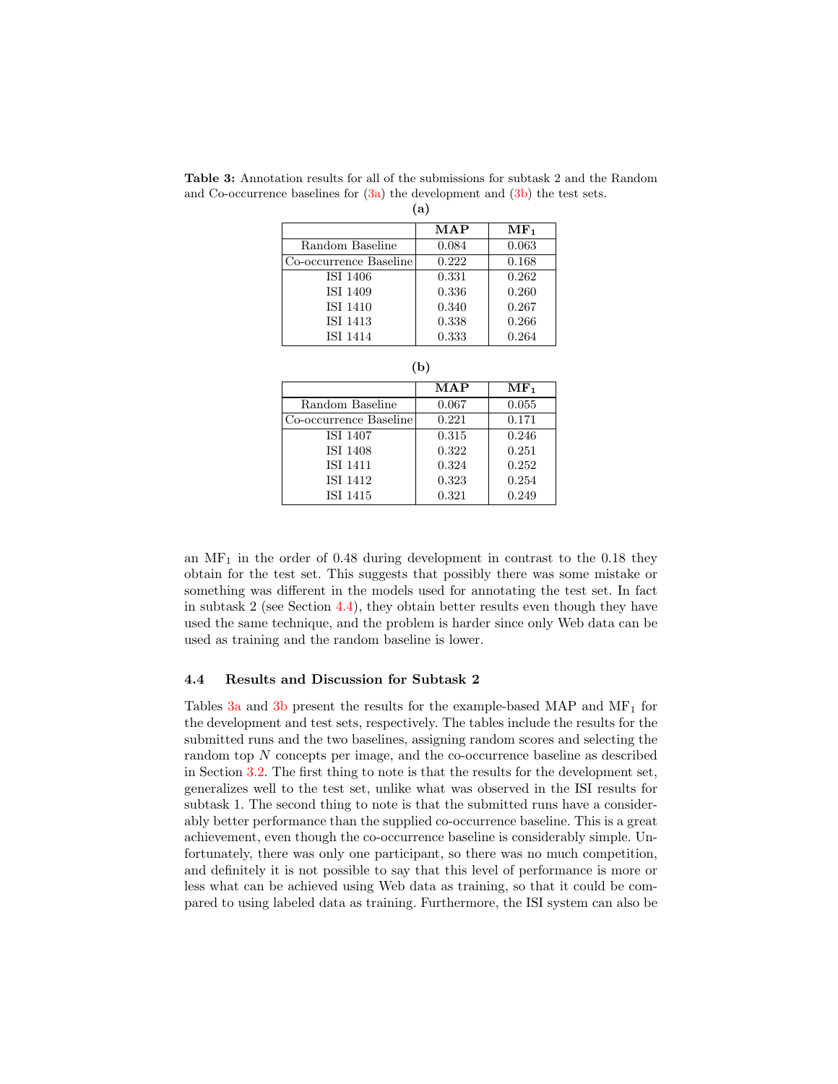|                        | <b>MAP</b> | MF <sub>1</sub> |
|------------------------|------------|-----------------|
| Random Baseline        | 0.084      | 0.063           |
| Co-occurrence Baseline | 0.222      | 0.168           |
| ISI 1406               | 0.331      | 0.262           |
| ISI 1409               | 0.336      | 0.260           |
| <b>ISI 1410</b>        | 0.340      | 0.267           |
| ISI 1413               | 0.338      | 0.266           |
| <b>ISI 1414</b>        | 0.333      | 0.264           |

<span id="page-11-0"></span>Table 3: Annotation results for all of the submissions for subtask 2 and the Random and Co-occurrence baselines for  $(3a)$  the development and  $(3b)$  the test sets.  $(a)$ 

<span id="page-11-1"></span>

| (b)                    |            |                 |  |  |
|------------------------|------------|-----------------|--|--|
|                        | <b>MAP</b> | MF <sub>1</sub> |  |  |
| Random Baseline        | 0.067      | 0.055           |  |  |
| Co-occurrence Baseline | 0.221      | 0.171           |  |  |
| ISI 1407               | 0.315      | 0.246           |  |  |
| ISI 1408               | 0.322      | 0.251           |  |  |
| <b>ISI 1411</b>        | 0.324      | 0.252           |  |  |
| ISI 1412               | 0.323      | 0.254           |  |  |
| ISI 1415               | 0.321      | 0.249           |  |  |

an  $MF_1$  in the order of 0.48 during development in contrast to the 0.18 they obtain for the test set. This suggests that possibly there was some mistake or something was different in the models used for annotating the test set. In fact in subtask 2 (see Section  $4.4$ ), they obtain better results even though they have used the same technique, and the problem is harder since only Web data can be used as training and the random baseline is lower.

## <span id="page-11-2"></span>4.4 Results and Discussion for Subtask 2

Tables  $3a$  and  $3b$  present the results for the example-based MAP and MF<sub>1</sub> for the development and test sets, respectively. The tables include the results for the submitted runs and the two baselines, assigning random scores and selecting the random top N concepts per image, and the co-occurrence baseline as described in Section [3.2.](#page-6-0) The first thing to note is that the results for the development set, generalizes well to the test set, unlike what was observed in the ISI results for subtask 1. The second thing to note is that the submitted runs have a considerably better performance than the supplied co-occurrence baseline. This is a great achievement, even though the co-occurrence baseline is considerably simple. Unfortunately, there was only one participant, so there was no much competition, and definitely it is not possible to say that this level of performance is more or less what can be achieved using Web data as training, so that it could be compared to using labeled data as training. Furthermore, the ISI system can also be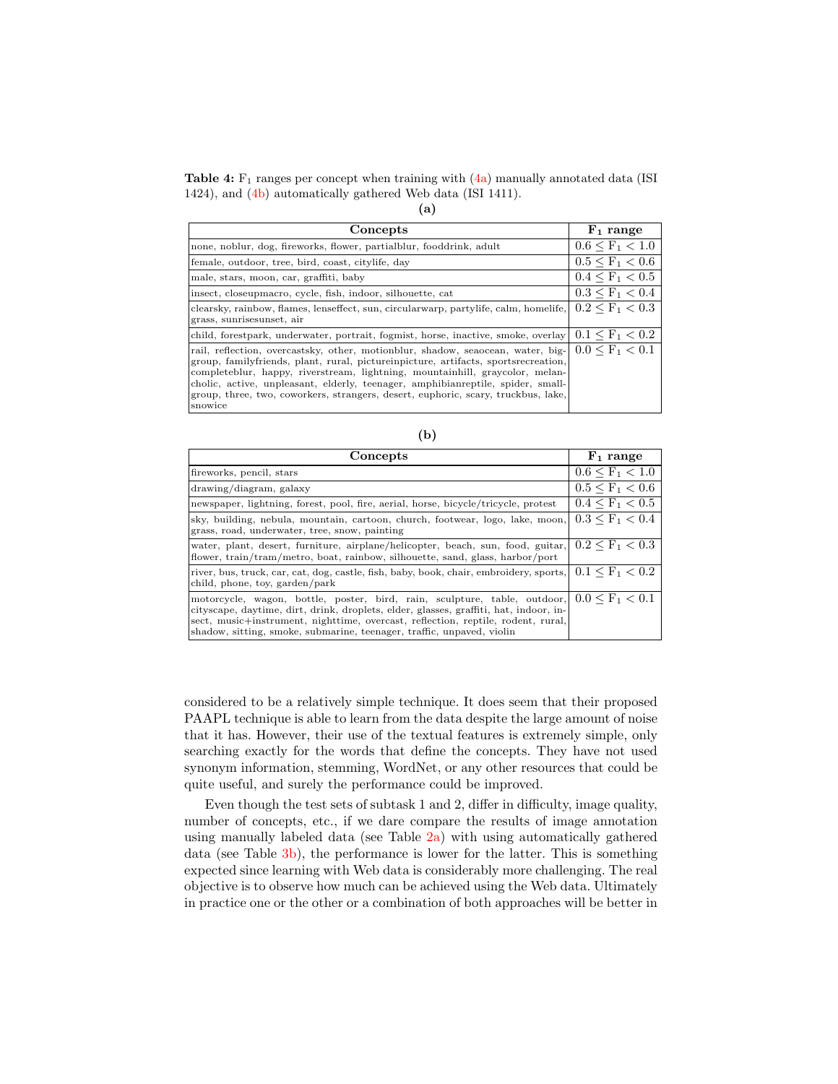Table 4:  $F_1$  ranges per concept when training with  $(4a)$  manually annotated data (ISI) 1424), and [\(4b\)](#page-12-1) automatically gathered Web data (ISI 1411).

<span id="page-12-0"></span>

| Concepts                                                                                                                                                                                                                                                                                                                                                                                                                                 | $F_1$ range             |
|------------------------------------------------------------------------------------------------------------------------------------------------------------------------------------------------------------------------------------------------------------------------------------------------------------------------------------------------------------------------------------------------------------------------------------------|-------------------------|
| none, noblur, dog, fireworks, flower, partialblur, fooddrink, adult                                                                                                                                                                                                                                                                                                                                                                      | $0.6 \leq F_1 < 1.0$    |
| female, outdoor, tree, bird, coast, citylife, day                                                                                                                                                                                                                                                                                                                                                                                        | $0.5 \leq F_1 \leq 0.6$ |
| male, stars, moon, car, graffiti, baby                                                                                                                                                                                                                                                                                                                                                                                                   | $0.4 \leq F_1 \leq 0.5$ |
| insect, closeupmacro, cycle, fish, indoor, silhouette, cat                                                                                                                                                                                                                                                                                                                                                                               | $0.3 \leq F_1 \leq 0.4$ |
| clearsky, rainbow, flames, lenseffect, sun, circularwarp, partylife, calm, homelife,<br>grass, sunrisesunset, air                                                                                                                                                                                                                                                                                                                        | $0.2 \leq F_1 < 0.3$    |
| child, forestpark, underwater, portrait, fogmist, horse, inactive, smoke, overlay $0.1 \leq F_1 < 0.2$                                                                                                                                                                                                                                                                                                                                   |                         |
| rail, reflection, overcastsky, other, motionblur, shadow, seaocean, water, big-<br>group, familyfriends, plant, rural, pictureinpicture, artifacts, sportsrecreation,<br>completeblur, happy, riverstream, lightning, mountainhill, graycolor, melan-<br>cholic, active, unpleasant, elderly, teenager, amphibianreptile, spider, small-<br>group, three, two, coworkers, strangers, desert, euphoric, scary, truckbus, lake,<br>snowice | $0.0 \leq F_1 \leq 0.1$ |

<span id="page-12-1"></span>

| Concepts                                                                                                                                                                                                                                                                                                                        | $F_1$ range             |
|---------------------------------------------------------------------------------------------------------------------------------------------------------------------------------------------------------------------------------------------------------------------------------------------------------------------------------|-------------------------|
| fireworks, pencil, stars                                                                                                                                                                                                                                                                                                        | $0.6 \leq F_1 \leq 1.0$ |
| drawing/diagram, galaxy                                                                                                                                                                                                                                                                                                         | $0.5 \leq F_1 \leq 0.6$ |
| newspaper, lightning, forest, pool, fire, aerial, horse, bicycle/tricycle, protest                                                                                                                                                                                                                                              | $0.4 \leq F_1 < 0.5$    |
| sky, building, nebula, mountain, cartoon, church, footwear, logo, lake, moon,<br>grass, road, underwater, tree, snow, painting                                                                                                                                                                                                  | $0.3 \leq F_1 \leq 0.4$ |
| water, plant, desert, furniture, airplane/helicopter, beach, sun, food, guitar,<br>flower, train/tram/metro, boat, rainbow, silhouette, sand, glass, harbor/port                                                                                                                                                                | $0.2 \leq F_1 \leq 0.3$ |
| river, bus, truck, car, cat, dog, castle, fish, baby, book, chair, embroidery, sports,<br>child, phone, toy, garden/park                                                                                                                                                                                                        | $0.1 \leq F_1 \leq 0.2$ |
| motorcycle, wagon, bottle, poster, bird, rain, sculpture, table, outdoor,<br>cityscape, daytime, dirt, drink, droplets, elder, glasses, graffiti, hat, indoor, in-<br>sect, music+instrument, nighttime, overcast, reflection, reptile, rodent, rural,<br>shadow, sitting, smoke, submarine, teenager, traffic, unpaved, violin | $0.0 \leq F_1 \leq 0.1$ |

considered to be a relatively simple technique. It does seem that their proposed PAAPL technique is able to learn from the data despite the large amount of noise that it has. However, their use of the textual features is extremely simple, only searching exactly for the words that define the concepts. They have not used synonym information, stemming, WordNet, or any other resources that could be quite useful, and surely the performance could be improved.

Even though the test sets of subtask 1 and 2, differ in difficulty, image quality, number of concepts, etc., if we dare compare the results of image annotation using manually labeled data (see Table [2a\)](#page-10-0) with using automatically gathered data (see Table [3b\)](#page-11-1), the performance is lower for the latter. This is something expected since learning with Web data is considerably more challenging. The real objective is to observe how much can be achieved using the Web data. Ultimately in practice one or the other or a combination of both approaches will be better in

(b)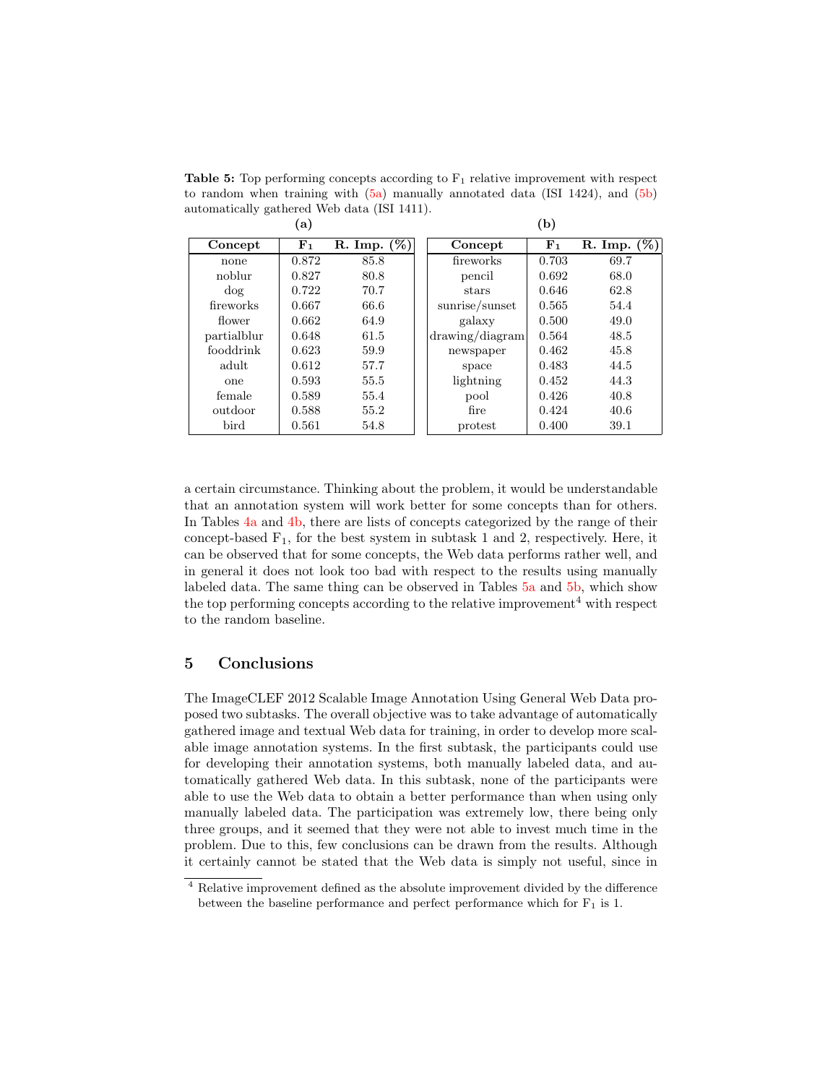Table 5: Top performing concepts according to  $F_1$  relative improvement with respect to random when training with [\(5a\)](#page-13-1) manually annotated data (ISI 1424), and [\(5b\)](#page-13-2) automatically gathered Web data (ISI 1411). (b)

<span id="page-13-2"></span><span id="page-13-1"></span>

|             | $\bf(a)$    |             |                 | (b)         |                |
|-------------|-------------|-------------|-----------------|-------------|----------------|
| Concept     | ${\bf F}_1$ | R. Imp. (%) | Concept         | ${\bf F}_1$ | R. Imp. $(\%)$ |
| none        | 0.872       | 85.8        | fireworks       | 0.703       | 69.7           |
| noblur      | 0.827       | 80.8        | pencil          | 0.692       | 68.0           |
| dog         | 0.722       | 70.7        | stars           | 0.646       | 62.8           |
| fireworks   | 0.667       | 66.6        | sunrise/sunset  | 0.565       | 54.4           |
| flower      | 0.662       | 64.9        | galaxy          | 0.500       | 49.0           |
| partialblur | 0.648       | 61.5        | drawing/diagram | 0.564       | 48.5           |
| fooddrink   | 0.623       | 59.9        | newspaper       | 0.462       | 45.8           |
| adult       | 0.612       | 57.7        | space           | 0.483       | 44.5           |
| one         | 0.593       | 55.5        | lightning       | 0.452       | 44.3           |
| female      | 0.589       | 55.4        | pool            | 0.426       | 40.8           |
| outdoor     | 0.588       | 55.2        | fire            | 0.424       | 40.6           |
| bird        | 0.561       | 54.8        | protest         | 0.400       | 39.1           |

a certain circumstance. Thinking about the problem, it would be understandable that an annotation system will work better for some concepts than for others. In Tables [4a](#page-12-0) and [4b,](#page-12-1) there are lists of concepts categorized by the range of their concept-based  $F_1$ , for the best system in subtask 1 and 2, respectively. Here, it can be observed that for some concepts, the Web data performs rather well, and in general it does not look too bad with respect to the results using manually labeled data. The same thing can be observed in Tables [5a](#page-13-1) and [5b,](#page-13-2) which show the top performing concepts according to the relative improvement<sup>4</sup> with respect to the random baseline.

# <span id="page-13-0"></span>5 Conclusions

The ImageCLEF 2012 Scalable Image Annotation Using General Web Data proposed two subtasks. The overall objective was to take advantage of automatically gathered image and textual Web data for training, in order to develop more scalable image annotation systems. In the first subtask, the participants could use for developing their annotation systems, both manually labeled data, and automatically gathered Web data. In this subtask, none of the participants were able to use the Web data to obtain a better performance than when using only manually labeled data. The participation was extremely low, there being only three groups, and it seemed that they were not able to invest much time in the problem. Due to this, few conclusions can be drawn from the results. Although it certainly cannot be stated that the Web data is simply not useful, since in

<sup>4</sup> Relative improvement defined as the absolute improvement divided by the difference between the baseline performance and perfect performance which for  $F_1$  is 1.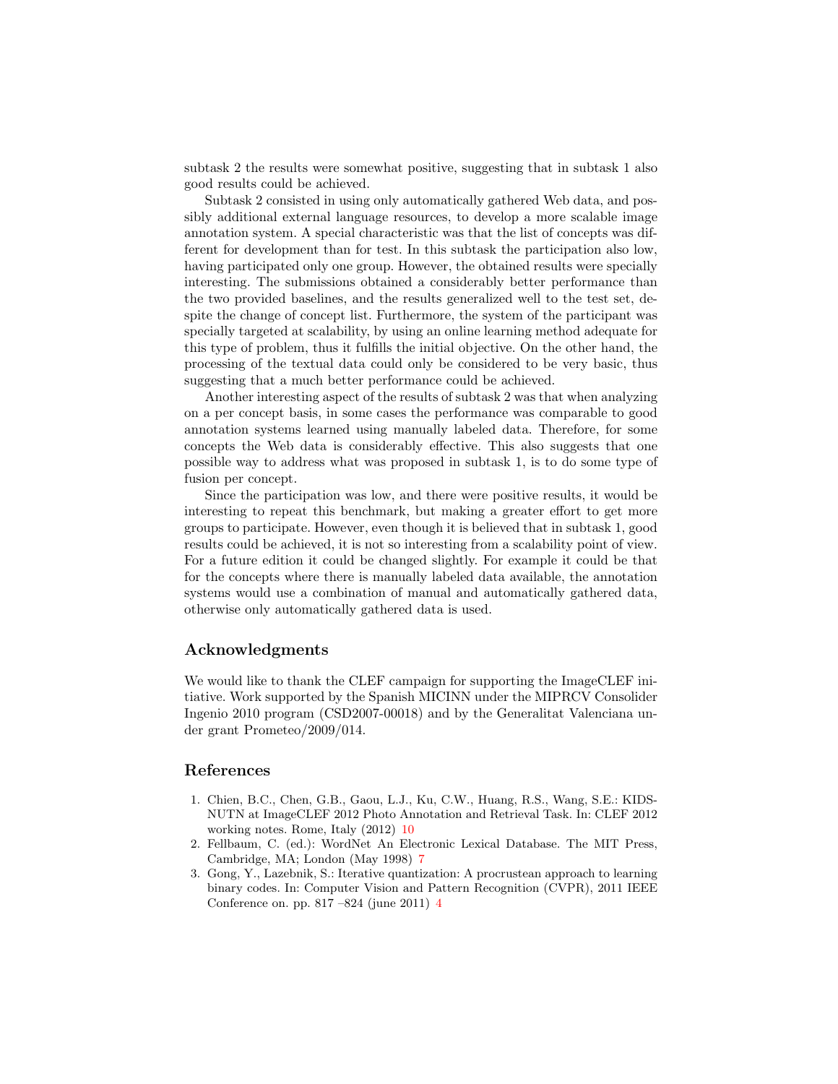subtask 2 the results were somewhat positive, suggesting that in subtask 1 also good results could be achieved.

Subtask 2 consisted in using only automatically gathered Web data, and possibly additional external language resources, to develop a more scalable image annotation system. A special characteristic was that the list of concepts was different for development than for test. In this subtask the participation also low, having participated only one group. However, the obtained results were specially interesting. The submissions obtained a considerably better performance than the two provided baselines, and the results generalized well to the test set, despite the change of concept list. Furthermore, the system of the participant was specially targeted at scalability, by using an online learning method adequate for this type of problem, thus it fulfills the initial objective. On the other hand, the processing of the textual data could only be considered to be very basic, thus suggesting that a much better performance could be achieved.

Another interesting aspect of the results of subtask 2 was that when analyzing on a per concept basis, in some cases the performance was comparable to good annotation systems learned using manually labeled data. Therefore, for some concepts the Web data is considerably effective. This also suggests that one possible way to address what was proposed in subtask 1, is to do some type of fusion per concept.

Since the participation was low, and there were positive results, it would be interesting to repeat this benchmark, but making a greater effort to get more groups to participate. However, even though it is believed that in subtask 1, good results could be achieved, it is not so interesting from a scalability point of view. For a future edition it could be changed slightly. For example it could be that for the concepts where there is manually labeled data available, the annotation systems would use a combination of manual and automatically gathered data, otherwise only automatically gathered data is used.

## Acknowledgments

We would like to thank the CLEF campaign for supporting the ImageCLEF initiative. Work supported by the Spanish MICINN under the MIPRCV Consolider Ingenio 2010 program (CSD2007-00018) and by the Generalitat Valenciana under grant Prometeo/2009/014.

## References

- <span id="page-14-2"></span>1. Chien, B.C., Chen, G.B., Gaou, L.J., Ku, C.W., Huang, R.S., Wang, S.E.: KIDS-NUTN at ImageCLEF 2012 Photo Annotation and Retrieval Task. In: CLEF 2012 working notes. Rome, Italy (2012) [10](#page-9-0)
- <span id="page-14-1"></span>2. Fellbaum, C. (ed.): WordNet An Electronic Lexical Database. The MIT Press, Cambridge, MA; London (May 1998) [7](#page-6-1)
- <span id="page-14-0"></span>3. Gong, Y., Lazebnik, S.: Iterative quantization: A procrustean approach to learning binary codes. In: Computer Vision and Pattern Recognition (CVPR), 2011 IEEE Conference on. pp. 817 –824 (june 2011) [4](#page-3-0)